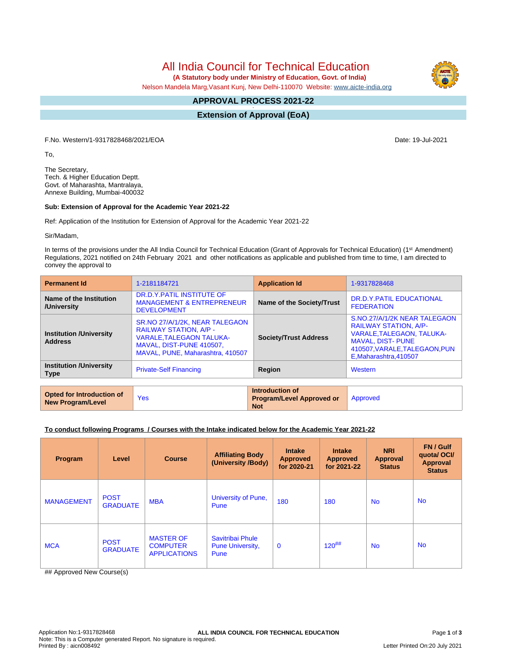All India Council for Technical Education

 **(A Statutory body under Ministry of Education, Govt. of India)**

Nelson Mandela Marg,Vasant Kunj, New Delhi-110070 Website: [www.aicte-india.org](http://www.aicte-india.org)

#### **APPROVAL PROCESS 2021-22 -**

**Extension of Approval (EoA)**

F.No. Western/1-9317828468/2021/EOA Date: 19-Jul-2021

To,

The Secretary, Tech. & Higher Education Deptt. Govt. of Maharashta, Mantralaya, Annexe Building, Mumbai-400032

### **Sub: Extension of Approval for the Academic Year 2021-22**

Ref: Application of the Institution for Extension of Approval for the Academic Year 2021-22

Sir/Madam,

In terms of the provisions under the All India Council for Technical Education (Grant of Approvals for Technical Education) (1<sup>st</sup> Amendment) Regulations, 2021 notified on 24th February 2021 and other notifications as applicable and published from time to time, I am directed to convey the approval to

| <b>Permanent Id</b>                                   | 1-2181184721                                                                                                                                                       | <b>Application Id</b>                                                      | 1-9317828468                                                                                                                                                                            |  |  |  |  |  |
|-------------------------------------------------------|--------------------------------------------------------------------------------------------------------------------------------------------------------------------|----------------------------------------------------------------------------|-----------------------------------------------------------------------------------------------------------------------------------------------------------------------------------------|--|--|--|--|--|
| Name of the Institution<br>/University                | DR.D.Y.PATIL INSTITUTE OF<br><b>MANAGEMENT &amp; ENTREPRENEUR</b><br><b>DEVELOPMENT</b>                                                                            | Name of the Society/Trust                                                  | DR.D.Y.PATIL EDUCATIONAL<br><b>FEDERATION</b>                                                                                                                                           |  |  |  |  |  |
| <b>Institution /University</b><br><b>Address</b>      | SR.NO 27/A/1/2K, NEAR TALEGAON<br><b>RAILWAY STATION, A/P -</b><br><b>VARALE, TALEGAON TALUKA-</b><br>MAVAL, DIST-PUNE 410507,<br>MAVAL, PUNE, Maharashtra, 410507 | <b>Society/Trust Address</b>                                               | S.NO.27/A/1/2K NEAR TALEGAON<br><b>RAILWAY STATION, A/P-</b><br><b>VARALE, TALEGAON, TALUKA-</b><br><b>MAVAL, DIST- PUNE</b><br>410507, VARALE, TALEGAON, PUN<br>E, Maharashtra, 410507 |  |  |  |  |  |
| <b>Institution /University</b><br><b>Type</b>         | <b>Private-Self Financing</b>                                                                                                                                      | Region                                                                     | Western                                                                                                                                                                                 |  |  |  |  |  |
|                                                       |                                                                                                                                                                    |                                                                            |                                                                                                                                                                                         |  |  |  |  |  |
| Opted for Introduction of<br><b>New Program/Level</b> | <b>Yes</b>                                                                                                                                                         | Introduction of<br><b>Program/Level Approved or</b><br><b>Sales School</b> | Approved                                                                                                                                                                                |  |  |  |  |  |

**Not**

### **To conduct following Programs / Courses with the Intake indicated below for the Academic Year 2021-22**

| Program           | Level                          | <b>Course</b>                                              | <b>Affiliating Body</b><br>(University /Body)       | <b>Intake</b><br><b>Approved</b><br>for 2020-21 | <b>Intake</b><br><b>Approved</b><br>for 2021-22 | <b>NRI</b><br><b>Approval</b><br><b>Status</b> | FN / Gulf<br>quota/OCI/<br><b>Approval</b><br><b>Status</b> |
|-------------------|--------------------------------|------------------------------------------------------------|-----------------------------------------------------|-------------------------------------------------|-------------------------------------------------|------------------------------------------------|-------------------------------------------------------------|
| <b>MANAGEMENT</b> | <b>POST</b><br><b>GRADUATE</b> | <b>MBA</b>                                                 | University of Pune,<br>Pune                         | 180                                             | 180                                             | <b>No</b>                                      | <b>No</b>                                                   |
| <b>MCA</b>        | <b>POST</b><br><b>GRADUATE</b> | <b>MASTER OF</b><br><b>COMPUTER</b><br><b>APPLICATIONS</b> | Savitribai Phule<br><b>Pune University,</b><br>Pune | $\mathbf 0$                                     | $120^{#}\#$                                     | <b>No</b>                                      | <b>No</b>                                                   |

## Approved New Course(s)

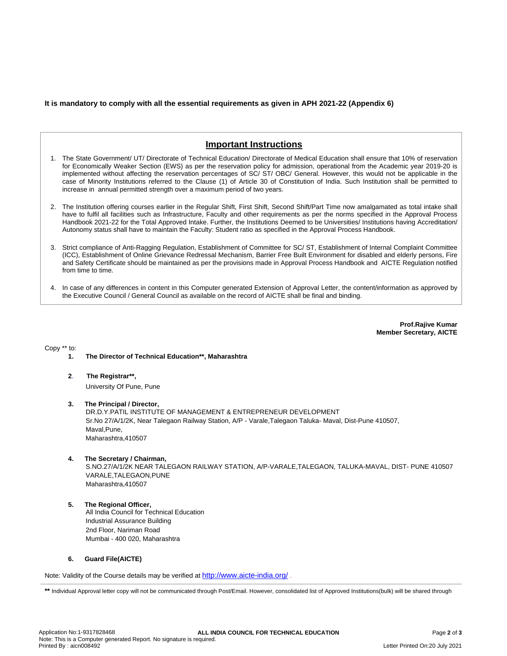## **It is mandatory to comply with all the essential requirements as given in APH 2021-22 (Appendix 6)**

# **Important Instructions**

- 1. The State Government/ UT/ Directorate of Technical Education/ Directorate of Medical Education shall ensure that 10% of reservation for Economically Weaker Section (EWS) as per the reservation policy for admission, operational from the Academic year 2019-20 is implemented without affecting the reservation percentages of SC/ ST/ OBC/ General. However, this would not be applicable in the case of Minority Institutions referred to the Clause (1) of Article 30 of Constitution of India. Such Institution shall be permitted to increase in annual permitted strength over a maximum period of two years.
- 2. The Institution offering courses earlier in the Regular Shift, First Shift, Second Shift/Part Time now amalgamated as total intake shall have to fulfil all facilities such as Infrastructure, Faculty and other requirements as per the norms specified in the Approval Process Handbook 2021-22 for the Total Approved Intake. Further, the Institutions Deemed to be Universities/ Institutions having Accreditation/ Autonomy status shall have to maintain the Faculty: Student ratio as specified in the Approval Process Handbook.
- 3. Strict compliance of Anti-Ragging Regulation, Establishment of Committee for SC/ ST, Establishment of Internal Complaint Committee (ICC), Establishment of Online Grievance Redressal Mechanism, Barrier Free Built Environment for disabled and elderly persons, Fire and Safety Certificate should be maintained as per the provisions made in Approval Process Handbook and AICTE Regulation notified from time to time.
- 4. In case of any differences in content in this Computer generated Extension of Approval Letter, the content/information as approved by the Executive Council / General Council as available on the record of AICTE shall be final and binding.

**Prof.Rajive Kumar Member Secretary, AICTE**

Copy \*\* to:

- **1. The Director of Technical Education\*\*, Maharashtra**
- **2**. **The Registrar\*\*,** University Of Pune, Pune
- **3. The Principal / Director,** DR.D.Y.PATIL INSTITUTE OF MANAGEMENT & ENTREPRENEUR DEVELOPMENT Sr.No 27/A/1/2K, Near Talegaon Railway Station, A/P - Varale,Talegaon Taluka- Maval, Dist-Pune 410507, Maval,Pune, Maharashtra,410507
- **4. The Secretary / Chairman,**

S.NO.27/A/1/2K NEAR TALEGAON RAILWAY STATION, A/P-VARALE,TALEGAON, TALUKA-MAVAL, DIST- PUNE 410507 VARALE,TALEGAON,PUNE Maharashtra,410507

**5. The Regional Officer,** All India Council for Technical Education Industrial Assurance Building 2nd Floor, Nariman Road Mumbai - 400 020, Maharashtra

### **6. Guard File(AICTE)**

Note: Validity of the Course details may be verified at <http://www.aicte-india.org/> **.**

\*\* Individual Approval letter copy will not be communicated through Post/Email. However, consolidated list of Approved Institutions(bulk) will be shared through